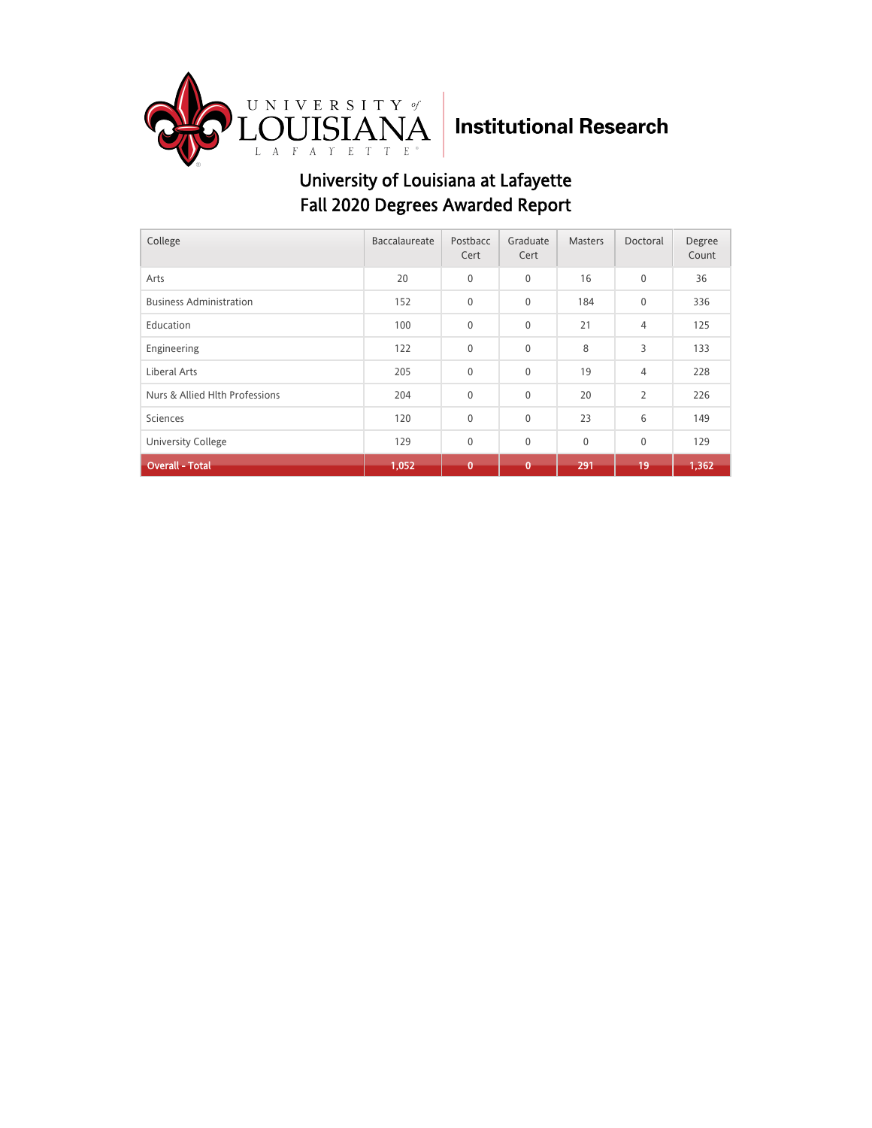

| College                        | Baccalaureate | Postbacc<br>Cert | Graduate<br>Cert | <b>Masters</b> | Doctoral       | Degree<br>Count |
|--------------------------------|---------------|------------------|------------------|----------------|----------------|-----------------|
| Arts                           | 20            | $\mathbf{0}$     | 0                | 16             | $\mathbf 0$    | 36              |
| <b>Business Administration</b> | 152           | $\mathbf{0}$     | 0                | 184            | $\mathbf 0$    | 336             |
| Education                      | 100           | $\mathbf{0}$     | 0                | 21             | 4              | 125             |
| Engineering                    | 122           | $\mathbf{0}$     | 0                | 8              | 3              | 133             |
| Liberal Arts                   | 205           | $\mathbf{0}$     | 0                | 19             | 4              | 228             |
| Nurs & Allied Hlth Professions | 204           | $\mathbf{0}$     | 0                | 20             | $\overline{2}$ | 226             |
| Sciences                       | 120           | $\mathbf 0$      | 0                | 23             | 6              | 149             |
| <b>University College</b>      | 129           | $\mathbf{0}$     | 0                | $\mathbf 0$    | 0              | 129             |
| <b>Overall - Total</b>         | 1,052         | $\mathbf{0}$     | $\mathbf 0$      | 291            | 19             | 1,362           |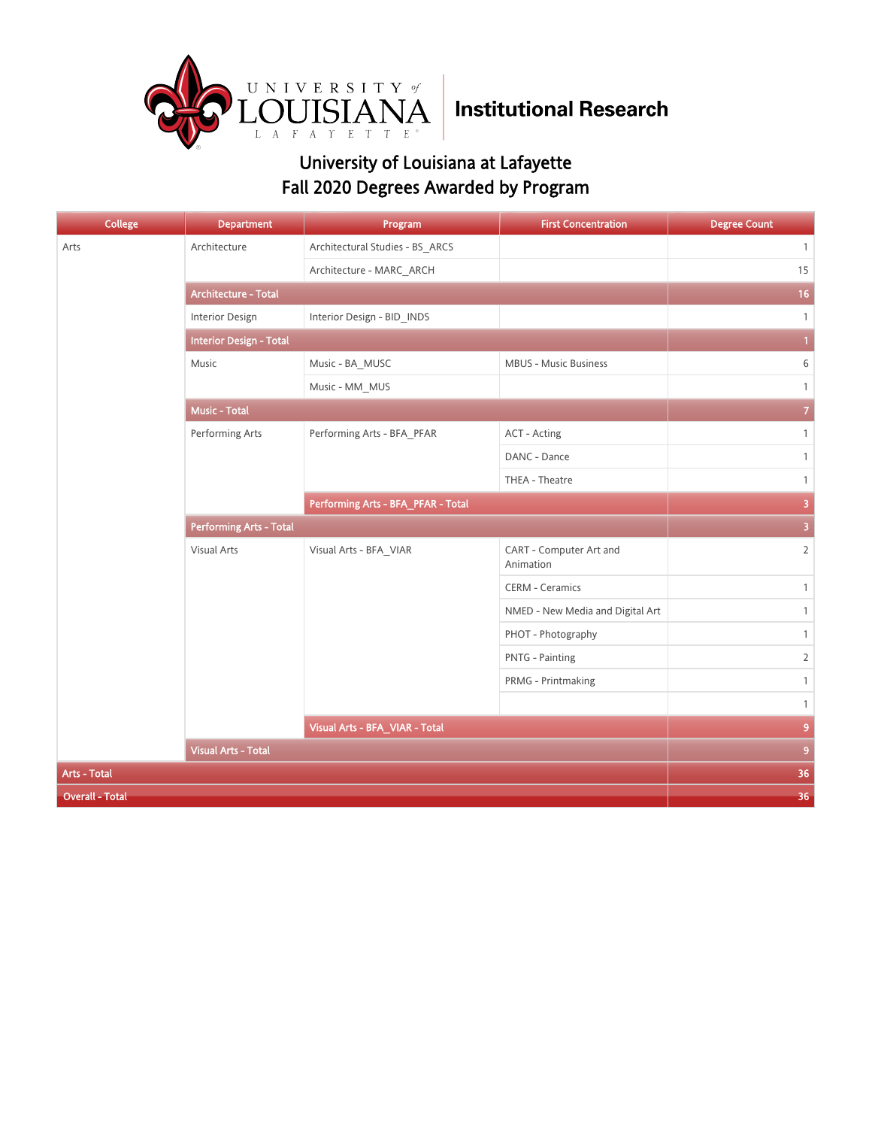

| <b>College</b>         | <b>Department</b>              | Program                            | <b>First Concentration</b>           | <b>Degree Count</b> |  |
|------------------------|--------------------------------|------------------------------------|--------------------------------------|---------------------|--|
| Arts                   | Architecture                   | Architectural Studies - BS_ARCS    |                                      | $\mathbf{1}$        |  |
|                        |                                | Architecture - MARC_ARCH           |                                      | 15                  |  |
|                        | Architecture - Total           | 16                                 |                                      |                     |  |
|                        | Interior Design                | Interior Design - BID_INDS         |                                      | $\mathbf{1}$        |  |
|                        | <b>Interior Design - Total</b> |                                    |                                      |                     |  |
|                        | Music                          | Music - BA_MUSC                    | <b>MBUS - Music Business</b>         | 6                   |  |
|                        |                                | Music - MM_MUS                     |                                      | $\mathbf{1}$        |  |
|                        | <b>Music - Total</b>           |                                    |                                      | $\overline{7}$      |  |
|                        | Performing Arts                | Performing Arts - BFA_PFAR         | ACT - Acting                         | $\mathbf{1}$        |  |
|                        |                                |                                    | DANC - Dance                         | $\mathbf{1}$        |  |
|                        |                                |                                    | THEA - Theatre                       | $\mathbf{1}$        |  |
|                        |                                | Performing Arts - BFA_PFAR - Total |                                      | 3                   |  |
|                        | <b>Performing Arts - Total</b> | $\overline{\mathbf{3}}$            |                                      |                     |  |
|                        | Visual Arts                    | Visual Arts - BFA_VIAR             | CART - Computer Art and<br>Animation | $\overline{2}$      |  |
|                        |                                |                                    | <b>CERM - Ceramics</b>               | $\mathbf{1}$        |  |
|                        |                                |                                    | NMED - New Media and Digital Art     | $\mathbf{1}$        |  |
|                        |                                |                                    | PHOT - Photography                   | $\mathbf{1}$        |  |
|                        |                                |                                    | <b>PNTG - Painting</b>               | $\overline{2}$      |  |
|                        |                                |                                    | PRMG - Printmaking                   | $\mathbf{1}$        |  |
|                        |                                |                                    |                                      | $\mathbf{1}$        |  |
|                        |                                | Visual Arts - BFA_VIAR - Total     |                                      |                     |  |
|                        | <b>Visual Arts - Total</b>     |                                    |                                      | 9 <sup>°</sup>      |  |
| Arts - Total           | 36                             |                                    |                                      |                     |  |
| <b>Overall - Total</b> |                                |                                    |                                      | 36                  |  |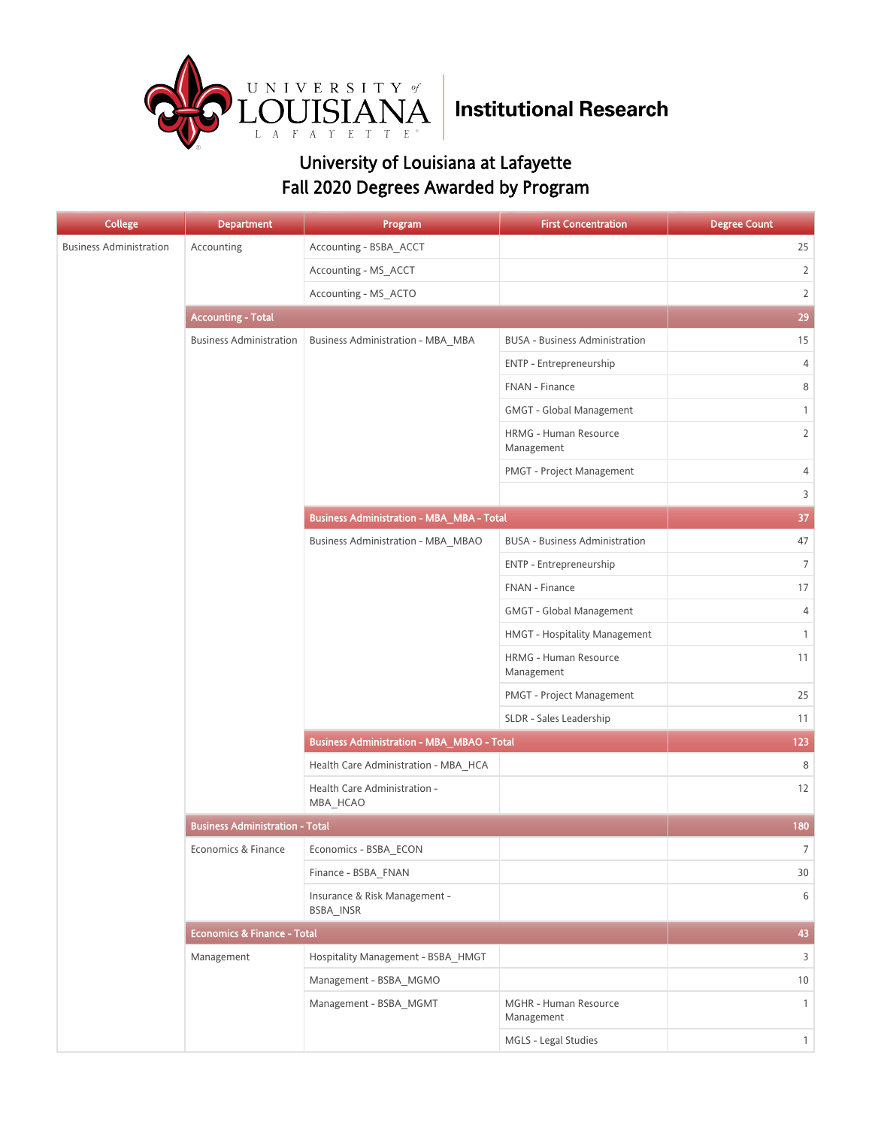

| <b>College</b>                 | <b>Department</b>                      | Program                                           | <b>First Concentration</b>            | <b>Degree Count</b> |
|--------------------------------|----------------------------------------|---------------------------------------------------|---------------------------------------|---------------------|
| <b>Business Administration</b> | Accounting                             | Accounting - BSBA_ACCT                            |                                       | 25                  |
|                                |                                        | Accounting - MS_ACCT                              |                                       | $\overline{2}$      |
|                                |                                        | Accounting - MS_ACTO                              |                                       | $\overline{2}$      |
|                                | <b>Accounting - Total</b>              |                                                   |                                       | 29                  |
|                                | <b>Business Administration</b>         | <b>Business Administration - MBA_MBA</b>          | <b>BUSA - Business Administration</b> | 15                  |
|                                |                                        |                                                   | ENTP - Entrepreneurship               | 4                   |
|                                |                                        |                                                   | FNAN - Finance                        | 8                   |
|                                |                                        |                                                   | GMGT - Global Management              | $\mathbf{1}$        |
|                                |                                        |                                                   | HRMG - Human Resource<br>Management   | $\overline{2}$      |
|                                |                                        |                                                   | PMGT - Project Management             | 4                   |
|                                |                                        |                                                   |                                       | 3                   |
|                                |                                        | <b>Business Administration - MBA_MBA - Total</b>  |                                       | 37                  |
|                                |                                        | Business Administration - MBA_MBAO                | <b>BUSA - Business Administration</b> | 47                  |
|                                |                                        |                                                   | ENTP - Entrepreneurship               | $\overline{7}$      |
|                                |                                        |                                                   | FNAN - Finance                        | 17                  |
|                                |                                        |                                                   | GMGT - Global Management              | 4                   |
|                                |                                        |                                                   | HMGT - Hospitality Management         | $\mathbf{1}$        |
|                                |                                        |                                                   | HRMG - Human Resource<br>Management   | 11                  |
|                                |                                        |                                                   | PMGT - Project Management             | 25                  |
|                                |                                        |                                                   | SLDR - Sales Leadership               | 11                  |
|                                |                                        | <b>Business Administration - MBA_MBAO - Total</b> | 123                                   |                     |
|                                |                                        | Health Care Administration - MBA_HCA              |                                       | 8                   |
|                                |                                        | Health Care Administration -<br>MBA_HCAO          |                                       | 12                  |
|                                | <b>Business Administration - Total</b> | 180                                               |                                       |                     |
|                                | Economics & Finance                    | Economics - BSBA_ECON                             |                                       | 7                   |
|                                |                                        | Finance - BSBA FNAN                               |                                       | 30                  |
|                                |                                        | Insurance & Risk Management -<br>BSBA_INSR        |                                       | 6                   |
|                                | Economics & Finance - Total            |                                                   |                                       | 43                  |
|                                | Management                             | Hospitality Management - BSBA_HMGT                |                                       | 3                   |
|                                |                                        | Management - BSBA_MGMO                            |                                       | 10                  |
|                                |                                        | Management - BSBA_MGMT                            | MGHR - Human Resource<br>Management   | $\mathbf{1}$        |
|                                |                                        |                                                   | MGLS - Legal Studies                  | $\mathbf{1}$        |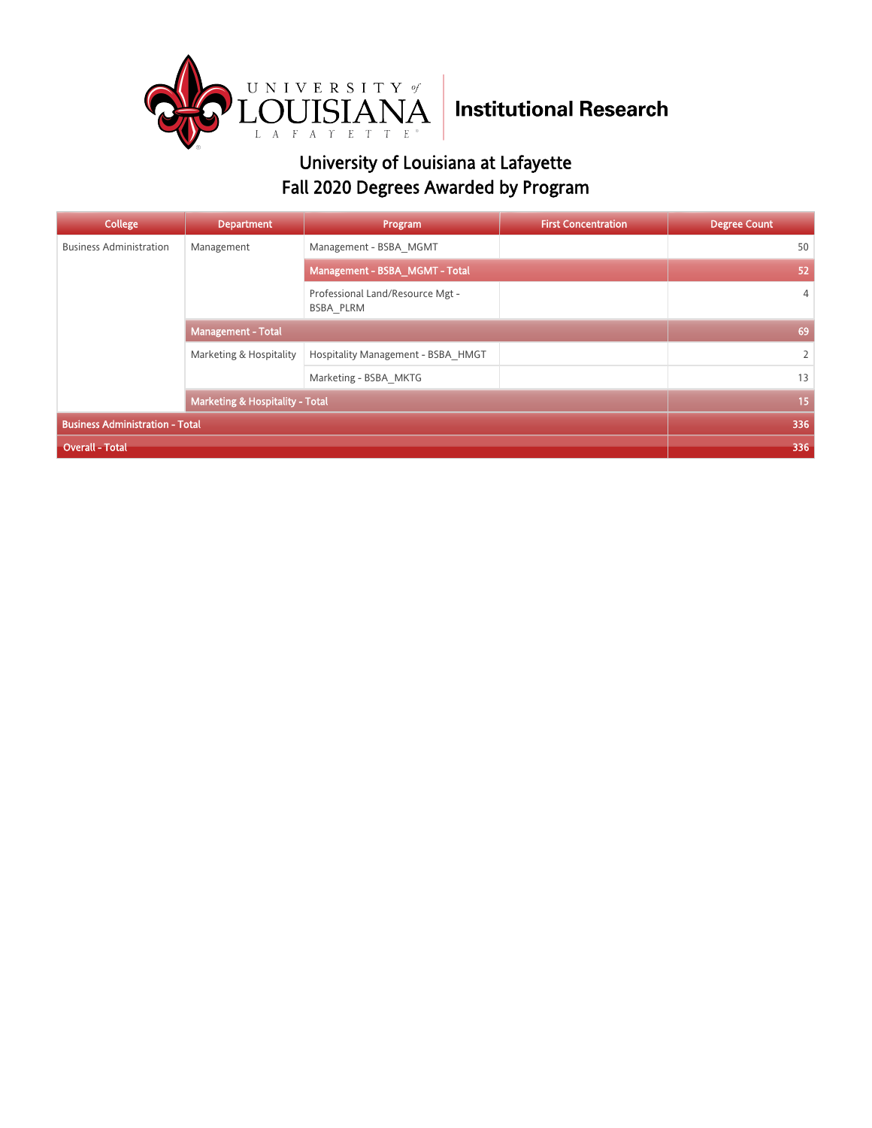

| College                                    | <b>Department</b>         | Program                                       | <b>First Concentration</b> | <b>Degree Count</b> |
|--------------------------------------------|---------------------------|-----------------------------------------------|----------------------------|---------------------|
| <b>Business Administration</b>             | Management                | Management - BSBA MGMT                        |                            | 50                  |
|                                            |                           | Management - BSBA MGMT - Total                |                            | 52                  |
|                                            |                           | Professional Land/Resource Mgt -<br>BSBA PLRM |                            | 4                   |
|                                            | <b>Management - Total</b> |                                               |                            | 69                  |
|                                            | Marketing & Hospitality   | Hospitality Management - BSBA HMGT            |                            | $\overline{2}$      |
|                                            |                           | Marketing - BSBA MKTG                         |                            | 13                  |
| <b>Marketing &amp; Hospitality - Total</b> |                           |                                               | 15                         |                     |
| <b>Business Administration - Total</b>     |                           |                                               |                            | 336                 |
| <b>Overall - Total</b>                     |                           |                                               |                            | 336                 |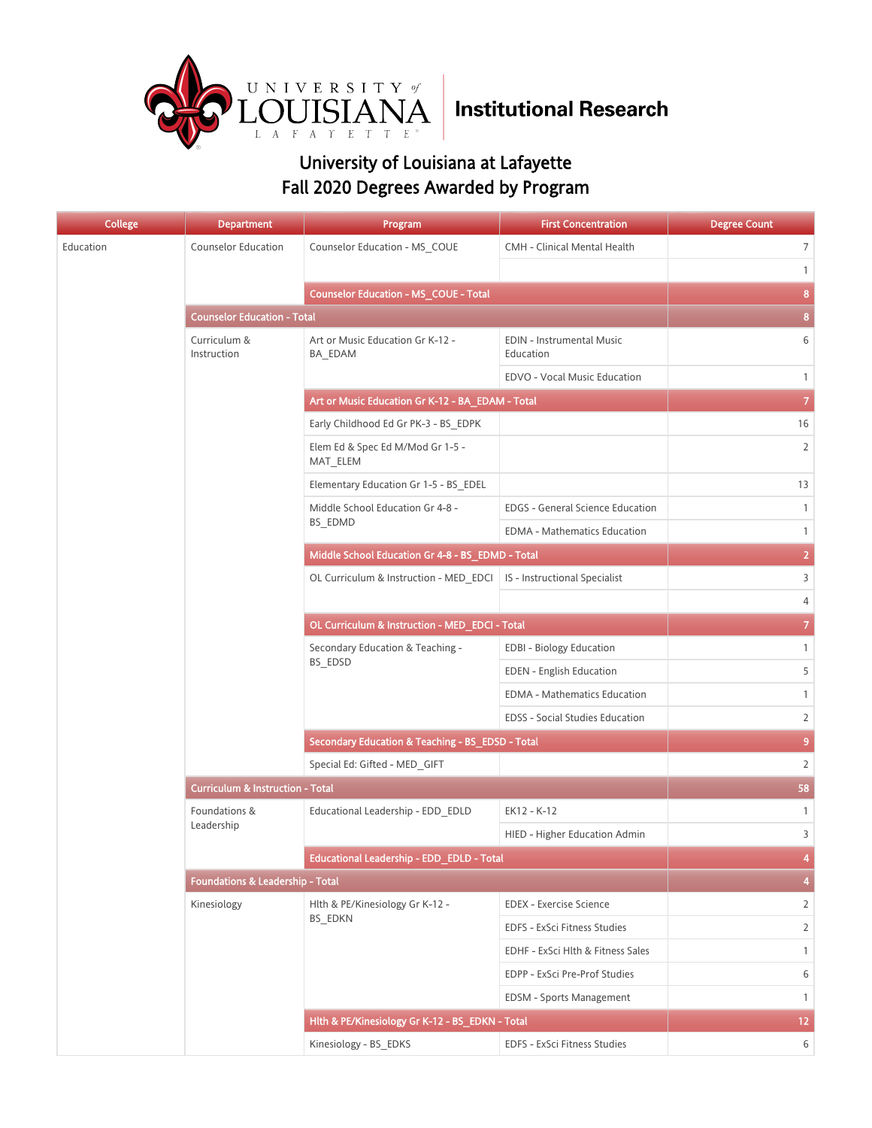

| <b>College</b> | <b>Department</b>                           | Program                                          | <b>First Concentration</b>              | <b>Degree Count</b>     |
|----------------|---------------------------------------------|--------------------------------------------------|-----------------------------------------|-------------------------|
| Education      | <b>Counselor Education</b>                  | Counselor Education - MS_COUE                    | CMH - Clinical Mental Health            | 7                       |
|                |                                             |                                                  |                                         | $\mathbf{1}$            |
|                |                                             | <b>Counselor Education - MS_COUE - Total</b>     |                                         | $\bf{8}$                |
|                | <b>Counselor Education - Total</b>          |                                                  |                                         | 8                       |
|                | Curriculum &<br>Instruction                 | Art or Music Education Gr K-12 -<br>BA_EDAM      | EDIN - Instrumental Music<br>Education  | 6                       |
|                |                                             |                                                  | EDVO - Vocal Music Education            | $\mathbf{1}$            |
|                |                                             | Art or Music Education Gr K-12 - BA_EDAM - Total |                                         | $\overline{\mathbf{7}}$ |
|                |                                             | Early Childhood Ed Gr PK-3 - BS_EDPK             |                                         | 16                      |
|                |                                             | Elem Ed & Spec Ed M/Mod Gr 1-5 -<br>MAT_ELEM     |                                         | $\overline{2}$          |
|                |                                             | Elementary Education Gr 1-5 - BS EDEL            |                                         | 13                      |
|                |                                             | Middle School Education Gr 4-8 -                 | <b>EDGS - General Science Education</b> | $\mathbf{1}$            |
|                |                                             | BS_EDMD                                          | EDMA - Mathematics Education            | $\mathbf{1}$            |
|                |                                             | Middle School Education Gr 4-8 - BS_EDMD - Total |                                         | $\overline{2}$          |
|                |                                             | OL Curriculum & Instruction - MED EDCI           | IS - Instructional Specialist           | 3                       |
|                |                                             |                                                  |                                         | 4                       |
|                |                                             | OL Curriculum & Instruction - MED_EDCI - Total   |                                         | $\mathbf{7}$            |
|                |                                             | Secondary Education & Teaching -<br>BS_EDSD      | <b>EDBI - Biology Education</b>         | $\mathbf{1}$            |
|                |                                             |                                                  | <b>EDEN</b> - English Education         | 5                       |
|                |                                             |                                                  | EDMA - Mathematics Education            | $\mathbf{1}$            |
|                |                                             |                                                  | EDSS - Social Studies Education         | $\overline{2}$          |
|                |                                             | Secondary Education & Teaching - BS_EDSD - Total | 9                                       |                         |
|                |                                             | Special Ed: Gifted - MED_GIFT                    |                                         | $\overline{2}$          |
|                | <b>Curriculum &amp; Instruction - Total</b> | 58                                               |                                         |                         |
|                | Foundations &                               | Educational Leadership - EDD_EDLD                | EK12 - K-12                             | $\mathbf{1}$            |
|                | Leadership                                  |                                                  | HIED - Higher Education Admin           | 3                       |
|                |                                             | Educational Leadership - EDD EDLD - Total        |                                         | 4                       |
|                | <b>Foundations &amp; Leadership - Total</b> |                                                  |                                         | 4                       |
|                | Kinesiology                                 | Hlth & PE/Kinesiology Gr K-12 -                  | <b>EDEX - Exercise Science</b>          | $\overline{2}$          |
|                |                                             | <b>BS EDKN</b>                                   | EDFS - ExSci Fitness Studies            | $\overline{2}$          |
|                |                                             |                                                  | EDHF - ExSci Hlth & Fitness Sales       | $\mathbf{1}$            |
|                |                                             |                                                  | EDPP - ExSci Pre-Prof Studies           | 6                       |
|                |                                             |                                                  | EDSM - Sports Management                | $\mathbf{1}$            |
|                |                                             | Hlth & PE/Kinesiology Gr K-12 - BS_EDKN - Total  |                                         | 12 <sub>2</sub>         |
|                |                                             | Kinesiology - BS EDKS                            | EDFS - ExSci Fitness Studies            | 6                       |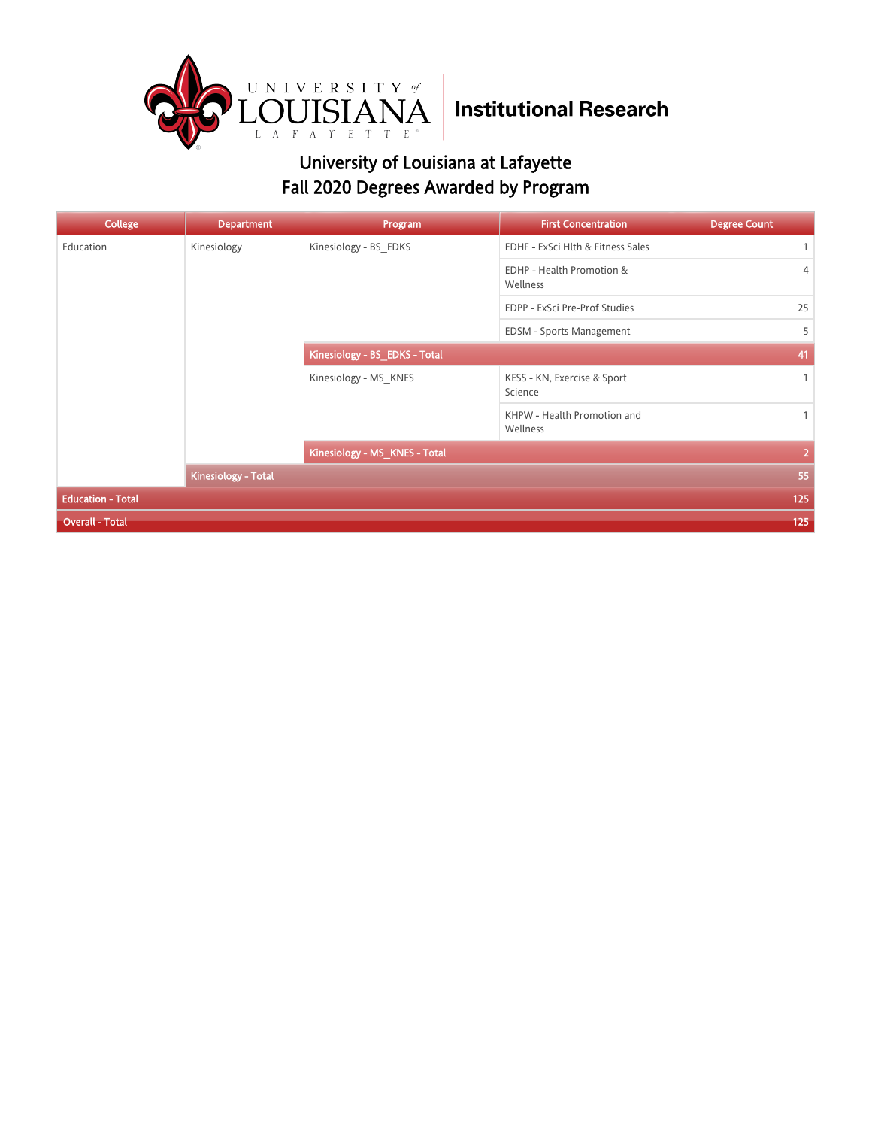

| <b>College</b>           | <b>Department</b>   | Program                       | <b>First Concentration</b>              | <b>Degree Count</b> |
|--------------------------|---------------------|-------------------------------|-----------------------------------------|---------------------|
| Education                | Kinesiology         | Kinesiology - BS_EDKS         | EDHF - ExSci Hlth & Fitness Sales       | $\mathbf{1}$        |
|                          |                     |                               | EDHP - Health Promotion &<br>Wellness   | 4                   |
|                          |                     |                               | EDPP - ExSci Pre-Prof Studies           | 25                  |
|                          |                     |                               | EDSM - Sports Management                | 5                   |
|                          |                     | Kinesiology - BS_EDKS - Total |                                         | 41                  |
|                          |                     | Kinesiology - MS KNES         | KESS - KN, Exercise & Sport<br>Science  | $\mathbf{1}$        |
|                          |                     |                               | KHPW - Health Promotion and<br>Wellness | $\mathbf{1}$        |
|                          |                     | Kinesiology - MS_KNES - Total |                                         | $\overline{2}$      |
|                          | Kinesiology - Total |                               |                                         | 55                  |
| <b>Education - Total</b> | 125                 |                               |                                         |                     |
| <b>Overall - Total</b>   |                     |                               |                                         | 125                 |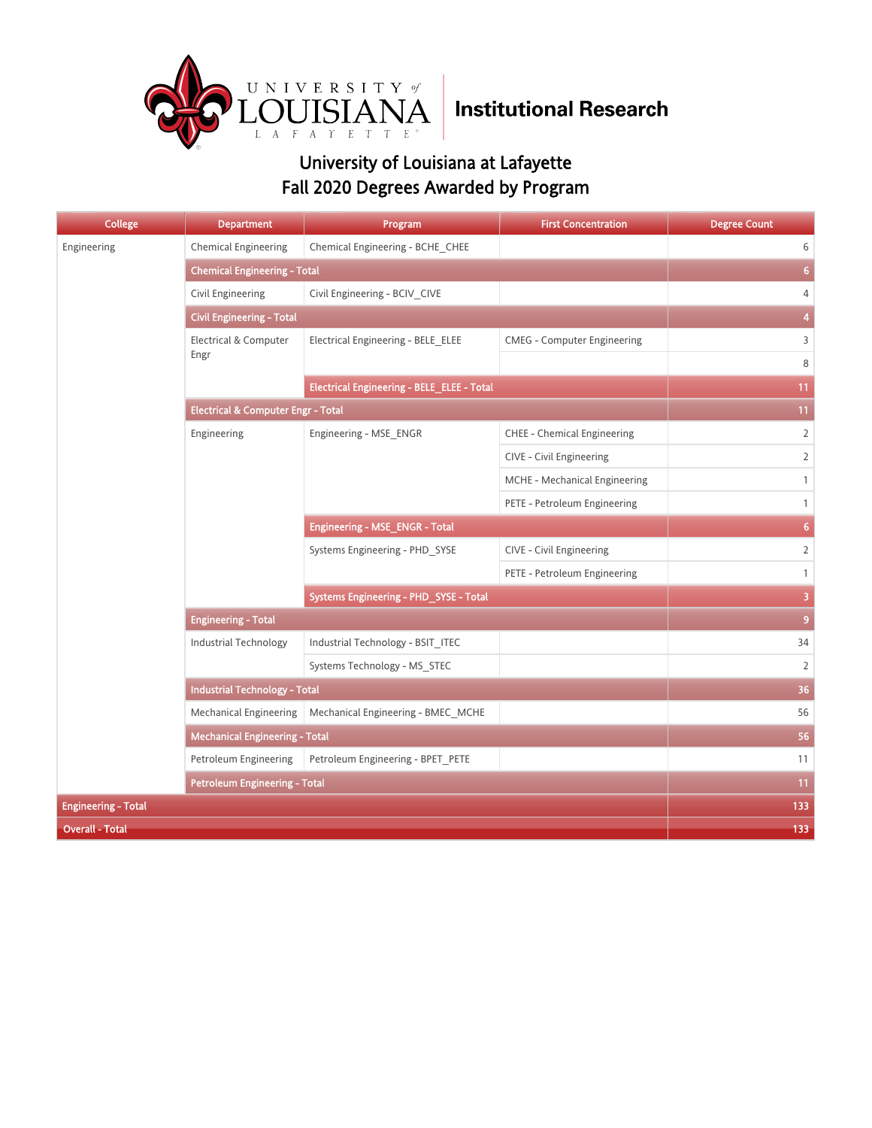

| <b>College</b>             | <b>Department</b>                             | Program                                           | <b>First Concentration</b>         | <b>Degree Count</b>     |  |
|----------------------------|-----------------------------------------------|---------------------------------------------------|------------------------------------|-------------------------|--|
| Engineering                | <b>Chemical Engineering</b>                   | Chemical Engineering - BCHE_CHEE                  |                                    | 6                       |  |
|                            | <b>Chemical Engineering - Total</b>           |                                                   |                                    | 6 <sup>1</sup>          |  |
|                            | Civil Engineering                             | Civil Engineering - BCIV CIVE                     |                                    | $\overline{4}$          |  |
|                            | <b>Civil Engineering - Total</b>              |                                                   |                                    | $\overline{\bf{4}}$     |  |
|                            | Electrical & Computer                         | Electrical Engineering - BELE ELEE                | <b>CMEG</b> - Computer Engineering | 3                       |  |
|                            | Engr                                          |                                                   |                                    | $\,8\,$                 |  |
|                            |                                               | <b>Electrical Engineering - BELE_ELEE - Total</b> |                                    | 11                      |  |
|                            | <b>Electrical &amp; Computer Engr - Total</b> |                                                   |                                    | 11                      |  |
|                            | Engineering                                   | Engineering - MSE ENGR                            | <b>CHEE - Chemical Engineering</b> | $\overline{2}$          |  |
|                            |                                               |                                                   | CIVE - Civil Engineering           | $\overline{2}$          |  |
|                            |                                               |                                                   | MCHE - Mechanical Engineering      | $\mathbf{1}$            |  |
|                            |                                               |                                                   | PETE - Petroleum Engineering       | $\mathbf{1}$            |  |
|                            |                                               | Engineering - MSE_ENGR - Total                    |                                    | 6 <sup>1</sup>          |  |
|                            |                                               | Systems Engineering - PHD SYSE                    | CIVE - Civil Engineering           | $\overline{2}$          |  |
|                            |                                               |                                                   | PETE - Petroleum Engineering       | $\mathbf{1}$            |  |
|                            |                                               | Systems Engineering - PHD_SYSE - Total            |                                    | $\overline{\mathbf{3}}$ |  |
|                            | <b>Engineering - Total</b>                    | $\overline{9}$                                    |                                    |                         |  |
|                            | <b>Industrial Technology</b>                  | Industrial Technology - BSIT ITEC                 |                                    | 34                      |  |
|                            |                                               | Systems Technology - MS_STEC                      |                                    | $\overline{2}$          |  |
|                            |                                               | <b>Industrial Technology - Total</b>              |                                    |                         |  |
|                            | <b>Mechanical Engineering</b>                 | Mechanical Engineering - BMEC_MCHE                |                                    | 56                      |  |
|                            | <b>Mechanical Engineering - Total</b>         |                                                   |                                    | 56                      |  |
|                            | Petroleum Engineering                         | Petroleum Engineering - BPET_PETE                 |                                    | 11                      |  |
|                            | <b>Petroleum Engineering - Total</b>          | 11                                                |                                    |                         |  |
| <b>Engineering - Total</b> | 133                                           |                                                   |                                    |                         |  |
| <b>Overall - Total</b>     |                                               |                                                   |                                    | 133                     |  |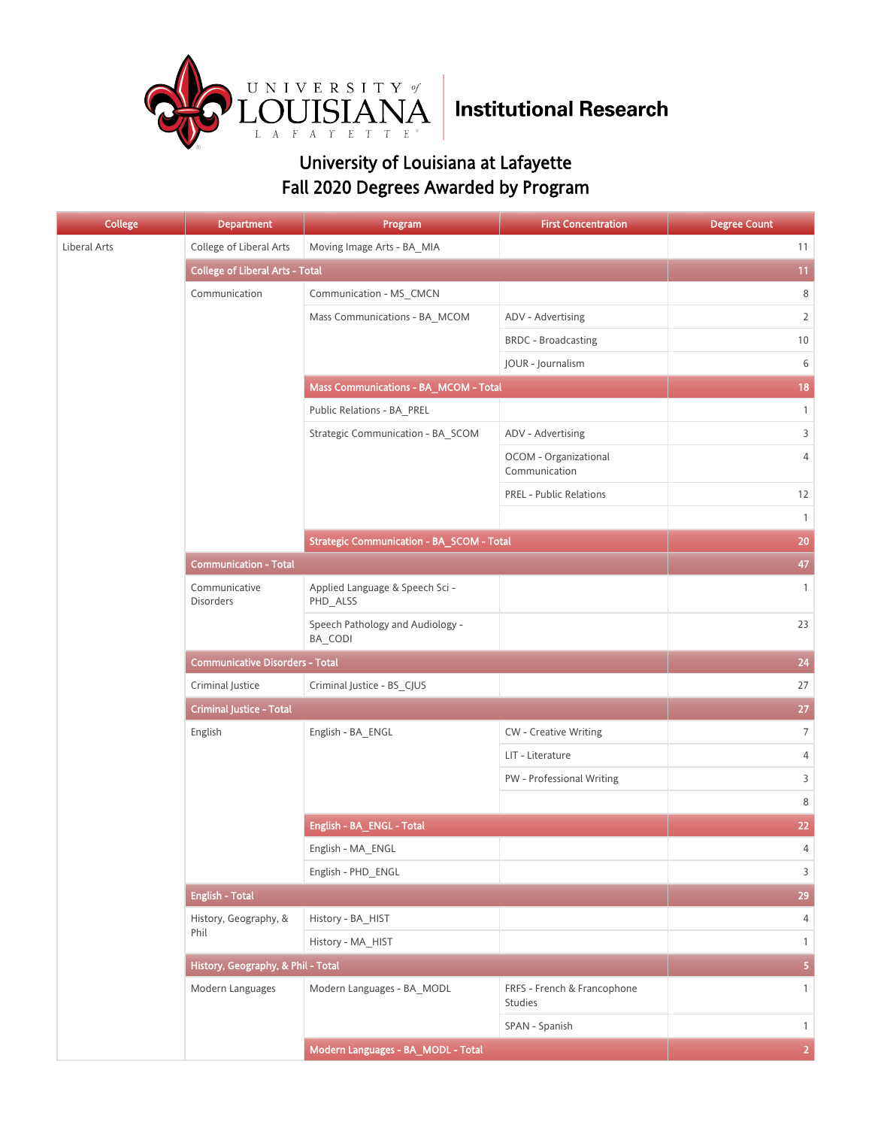

| <b>College</b> | <b>Department</b>                      | Program                                          | <b>First Concentration</b>                    | <b>Degree Count</b>     |
|----------------|----------------------------------------|--------------------------------------------------|-----------------------------------------------|-------------------------|
| Liberal Arts   | College of Liberal Arts                | Moving Image Arts - BA_MIA                       |                                               | 11                      |
|                | <b>College of Liberal Arts - Total</b> |                                                  |                                               | 11                      |
|                | Communication                          | Communication - MS_CMCN                          |                                               | 8                       |
|                |                                        | Mass Communications - BA_MCOM                    | ADV - Advertising                             | $\overline{2}$          |
|                |                                        |                                                  | <b>BRDC</b> - Broadcasting                    | 10                      |
|                |                                        |                                                  | JOUR - Journalism                             | 6                       |
|                |                                        | Mass Communications - BA_MCOM - Total            |                                               | 18                      |
|                |                                        | Public Relations - BA_PREL                       |                                               | $\mathbf{1}$            |
|                |                                        | Strategic Communication - BA SCOM                | ADV - Advertising                             | $\mathsf{3}$            |
|                |                                        |                                                  | OCOM - Organizational<br>Communication        | $\overline{4}$          |
|                |                                        |                                                  | <b>PREL - Public Relations</b>                | 12                      |
|                |                                        |                                                  |                                               | $\mathbf{1}$            |
|                |                                        | <b>Strategic Communication - BA_SCOM - Total</b> |                                               | 20                      |
|                | <b>Communication - Total</b>           |                                                  |                                               | 47                      |
|                | Communicative<br>Disorders             | Applied Language & Speech Sci -<br>PHD_ALSS      |                                               | $\mathbf{1}$            |
|                |                                        | Speech Pathology and Audiology -<br>BA_CODI      |                                               | 23                      |
|                | <b>Communicative Disorders - Total</b> | 24                                               |                                               |                         |
|                | Criminal Justice                       | Criminal Justice - BS_CJUS                       |                                               | 27                      |
|                | <b>Criminal Justice - Total</b>        | 27                                               |                                               |                         |
|                | English                                | English - BA_ENGL                                | <b>CW</b> - Creative Writing                  | $\overline{7}$          |
|                |                                        |                                                  | LIT - Literature                              | 4                       |
|                |                                        |                                                  | PW - Professional Writing                     | $\mathsf{3}$            |
|                |                                        |                                                  |                                               | 8                       |
|                |                                        | English - BA_ENGL - Total                        |                                               | 22                      |
|                |                                        | English - MA ENGL                                |                                               | 4                       |
|                |                                        | English - PHD_ENGL                               |                                               | $\mathsf{3}$            |
|                | <b>English - Total</b>                 |                                                  |                                               | 29                      |
|                | History, Geography, &                  | History - BA HIST                                |                                               | $\overline{4}$          |
|                | Phil                                   | History - MA HIST                                |                                               | $\mathbf{1}$            |
|                | History, Geography, & Phil - Total     |                                                  |                                               | $\overline{\mathbf{5}}$ |
|                | Modern Languages                       | Modern Languages - BA_MODL                       | FRFS - French & Francophone<br><b>Studies</b> | $\mathbf{1}$            |
|                |                                        |                                                  | SPAN - Spanish                                | $\mathbf{1}$            |
|                |                                        | Modern Languages - BA_MODL - Total               |                                               | $\overline{2}$          |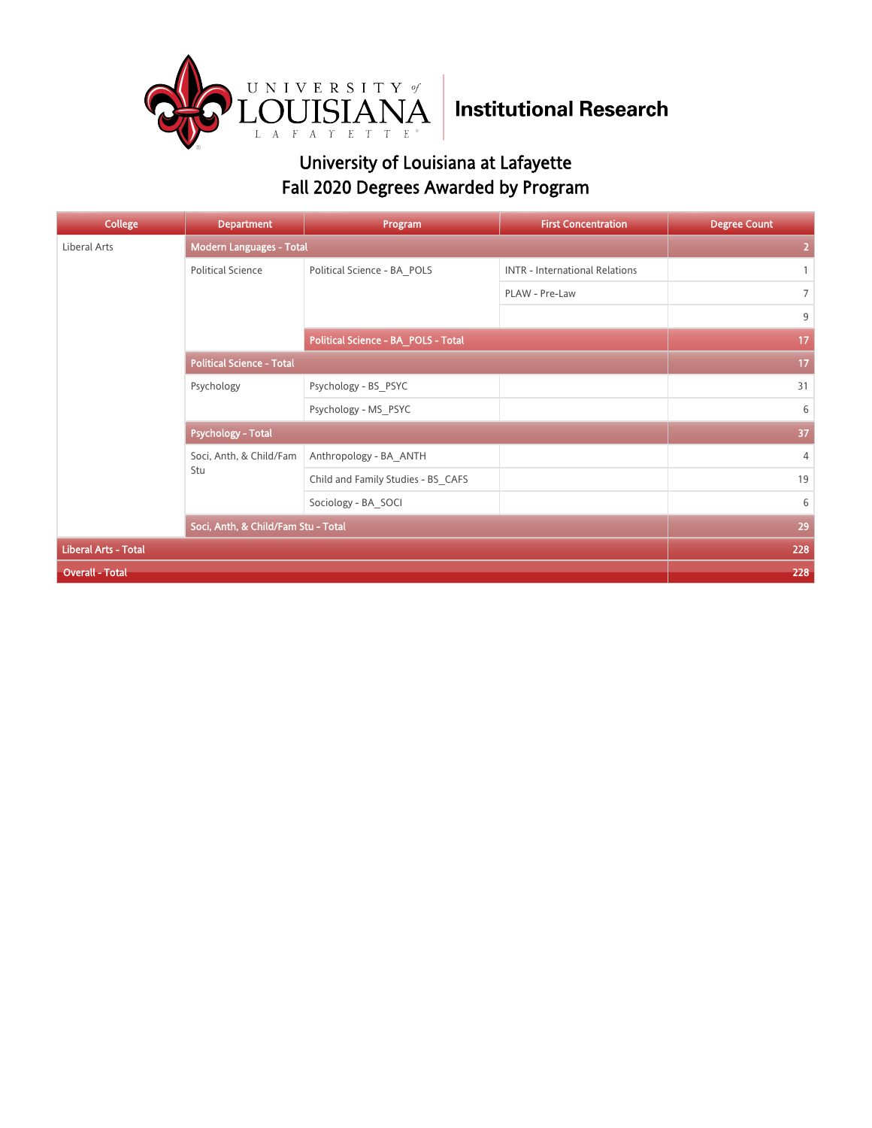

| College                     | <b>Department</b>                   | Program                             | <b>First Concentration</b>            | <b>Degree Count</b> |
|-----------------------------|-------------------------------------|-------------------------------------|---------------------------------------|---------------------|
| Liberal Arts                | Modern Languages - Total            |                                     | $\overline{2}$                        |                     |
|                             | <b>Political Science</b>            | Political Science - BA POLS         | <b>INTR - International Relations</b> | $\mathbf{1}$        |
|                             |                                     |                                     | PLAW - Pre-Law                        | $\overline{7}$      |
|                             |                                     |                                     |                                       | 9                   |
|                             |                                     | Political Science - BA_POLS - Total |                                       | 17                  |
|                             | <b>Political Science - Total</b>    | 17                                  |                                       |                     |
|                             | Psychology                          | Psychology - BS PSYC                |                                       | 31                  |
|                             |                                     | Psychology - MS PSYC                |                                       | 6                   |
|                             | <b>Psychology - Total</b>           | 37                                  |                                       |                     |
|                             | Soci, Anth, & Child/Fam             | Anthropology - BA ANTH              |                                       | 4                   |
|                             | Stu                                 | Child and Family Studies - BS CAFS  |                                       | 19                  |
|                             |                                     | Sociology - BA SOCI                 |                                       | 6                   |
|                             | Soci, Anth, & Child/Fam Stu - Total |                                     |                                       | 29                  |
| <b>Liberal Arts - Total</b> |                                     |                                     |                                       | 228                 |
| <b>Overall - Total</b>      | 228                                 |                                     |                                       |                     |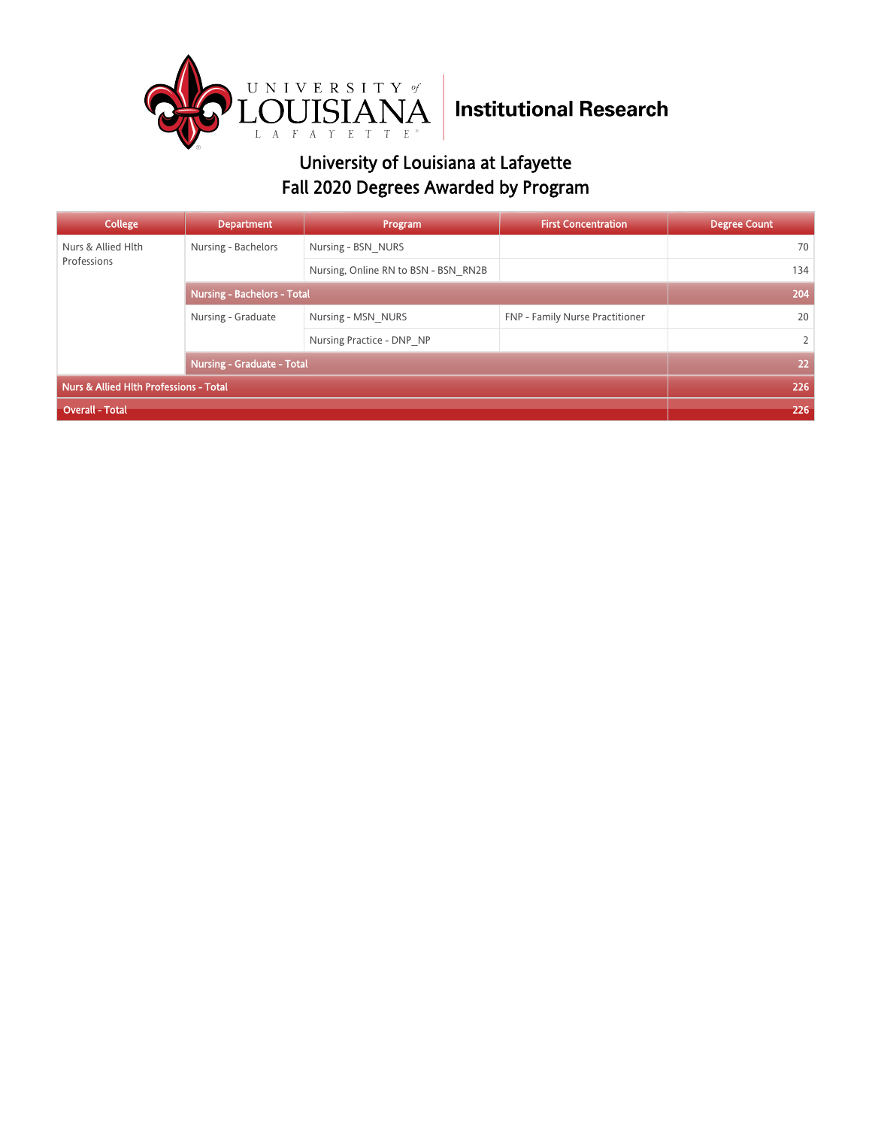

| College                                | <b>Department</b>                  | Program                              | <b>First Concentration</b>      | <b>Degree Count</b> |
|----------------------------------------|------------------------------------|--------------------------------------|---------------------------------|---------------------|
| Nurs & Allied Hlth<br>Professions      | Nursing - Bachelors                | Nursing - BSN NURS                   |                                 | 70                  |
|                                        |                                    | Nursing, Online RN to BSN - BSN RN2B |                                 | 134                 |
|                                        | <b>Nursing - Bachelors - Total</b> | 204                                  |                                 |                     |
|                                        | Nursing - Graduate                 | Nursing - MSN NURS                   | FNP - Family Nurse Practitioner | 20                  |
|                                        |                                    | Nursing Practice - DNP NP            |                                 | $\overline{2}$      |
|                                        | <b>Nursing - Graduate - Total</b>  | 22                                   |                                 |                     |
| Nurs & Allied Hlth Professions - Total |                                    |                                      |                                 | 226                 |
| <b>Overall - Total</b>                 |                                    |                                      |                                 | 226                 |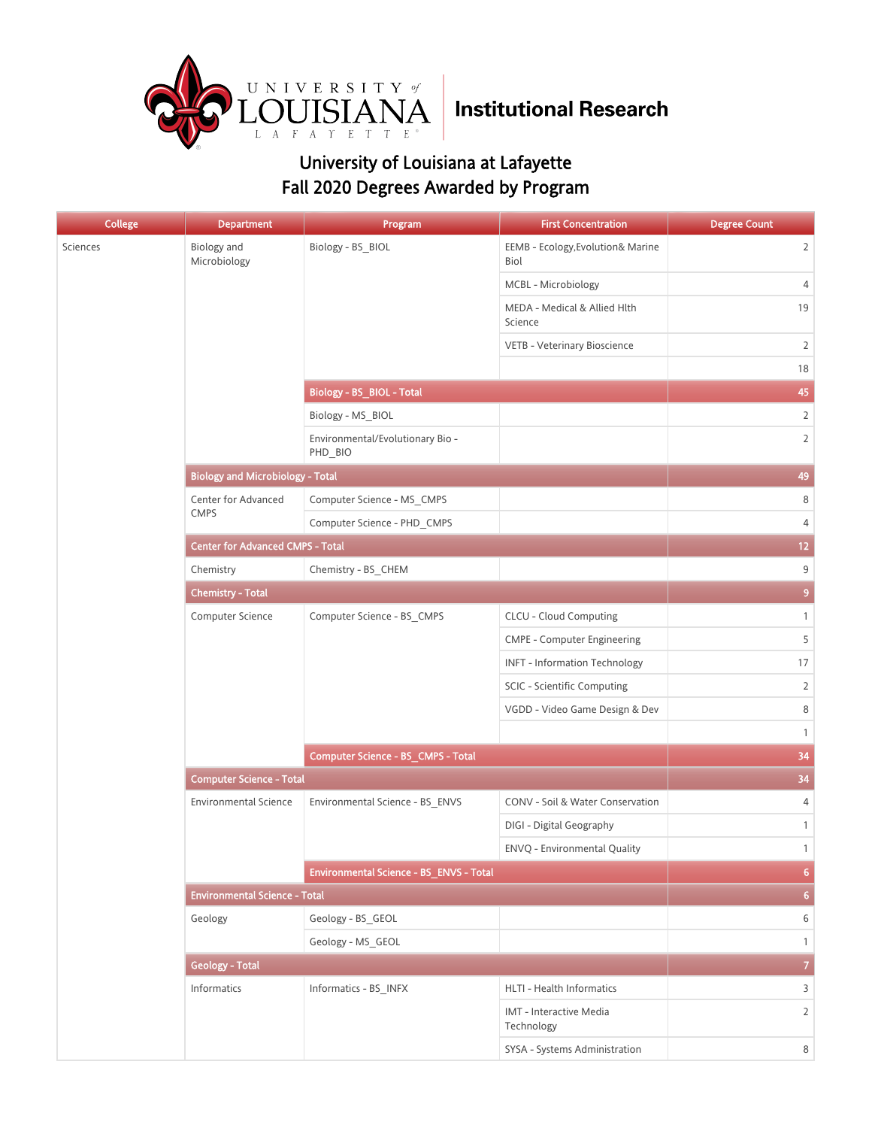

| <b>College</b> | <b>Department</b>                       | Program                                     | <b>First Concentration</b>                | <b>Degree Count</b> |
|----------------|-----------------------------------------|---------------------------------------------|-------------------------------------------|---------------------|
| Sciences       | Biology and<br>Microbiology             | Biology - BS_BIOL                           | EEMB - Ecology, Evolution& Marine<br>Biol | $\overline{2}$      |
|                |                                         |                                             | MCBL - Microbiology                       | 4                   |
|                |                                         |                                             | MEDA - Medical & Allied Hlth<br>Science   | 19                  |
|                |                                         |                                             | VETB - Veterinary Bioscience              | $\overline{2}$      |
|                |                                         |                                             |                                           | 18                  |
|                |                                         | Biology - BS_BIOL - Total                   |                                           | 45                  |
|                |                                         | Biology - MS_BIOL                           |                                           | $\overline{2}$      |
|                |                                         | Environmental/Evolutionary Bio -<br>PHD_BIO |                                           | $\overline{2}$      |
|                | <b>Biology and Microbiology - Total</b> |                                             |                                           | 49                  |
|                | Center for Advanced                     | Computer Science - MS_CMPS                  |                                           | 8                   |
|                | <b>CMPS</b>                             | Computer Science - PHD CMPS                 |                                           | $\overline{4}$      |
|                | <b>Center for Advanced CMPS - Total</b> |                                             |                                           | 12 <sub>2</sub>     |
|                | Chemistry                               | Chemistry - BS_CHEM                         |                                           | 9                   |
|                | <b>Chemistry - Total</b>                | 9 <sup>°</sup>                              |                                           |                     |
|                | Computer Science                        | Computer Science - BS_CMPS                  | <b>CLCU - Cloud Computing</b>             | $\mathbf{1}$        |
|                |                                         |                                             | <b>CMPE - Computer Engineering</b>        | 5                   |
|                |                                         |                                             | <b>INFT - Information Technology</b>      | 17                  |
|                |                                         |                                             | SCIC - Scientific Computing               | $\overline{2}$      |
|                |                                         |                                             | VGDD - Video Game Design & Dev            | 8                   |
|                |                                         |                                             |                                           | $\mathbf{1}$        |
|                |                                         | Computer Science - BS_CMPS - Total          |                                           | 34                  |
|                | <b>Computer Science - Total</b>         |                                             |                                           | 34                  |
|                | <b>Environmental Science</b>            | Environmental Science - BS_ENVS             | CONV - Soil & Water Conservation          | 4                   |
|                |                                         |                                             | DIGI - Digital Geography                  | $\mathbf{1}$        |
|                |                                         |                                             | ENVQ - Environmental Quality              | $\mathbf{1}$        |
|                |                                         | Environmental Science - BS_ENVS - Total     |                                           | $6\phantom{a}$      |
|                | <b>Environmental Science - Total</b>    |                                             |                                           | 6 <sup>1</sup>      |
|                | Geology                                 | Geology - BS_GEOL                           |                                           | 6                   |
|                |                                         | Geology - MS_GEOL                           |                                           | $\mathbf{1}$        |
|                | <b>Geology - Total</b>                  |                                             |                                           | $\overline{7}$      |
|                | Informatics                             | Informatics - BS_INFX                       | HLTI - Health Informatics                 | 3                   |
|                |                                         |                                             | IMT - Interactive Media<br>Technology     | $\overline{2}$      |
|                |                                         |                                             | SYSA - Systems Administration             | 8                   |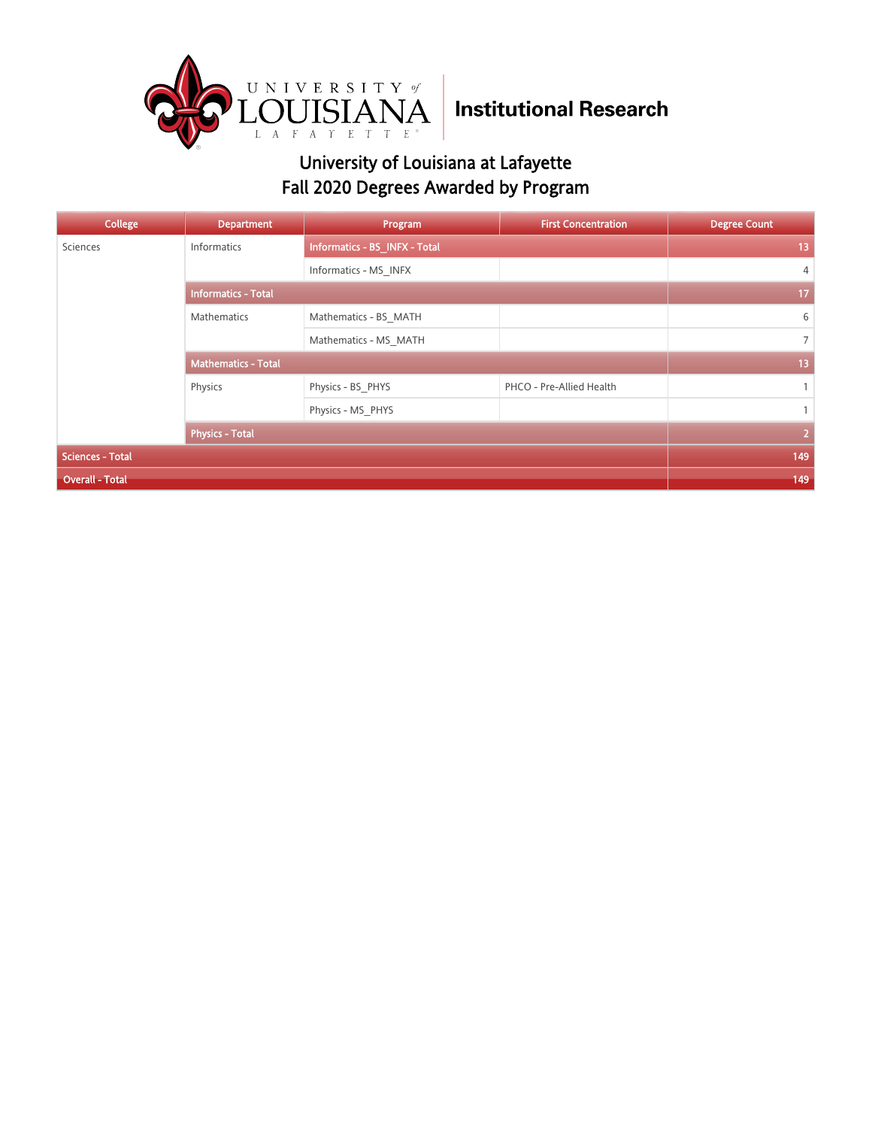

| <b>College</b>          | <b>Department</b>          | Program                       | <b>First Concentration</b> | <b>Degree Count</b> |
|-------------------------|----------------------------|-------------------------------|----------------------------|---------------------|
| Sciences                | <b>Informatics</b>         | Informatics - BS_INFX - Total |                            | 13                  |
|                         |                            | Informatics - MS INFX         |                            | $\overline{4}$      |
|                         | <b>Informatics - Total</b> | 17                            |                            |                     |
|                         | <b>Mathematics</b>         | Mathematics - BS MATH         |                            | 6                   |
|                         |                            | Mathematics - MS MATH         |                            | $\overline{7}$      |
|                         | <b>Mathematics - Total</b> | 13                            |                            |                     |
|                         | Physics                    | Physics - BS PHYS             | PHCO - Pre-Allied Health   | $\mathbf{1}$        |
|                         |                            | Physics - MS PHYS             |                            | $\mathbf{1}$        |
|                         | <b>Physics - Total</b>     | $\overline{2}$                |                            |                     |
| <b>Sciences - Total</b> |                            |                               |                            | 149                 |
| <b>Overall - Total</b>  |                            |                               |                            | 149                 |